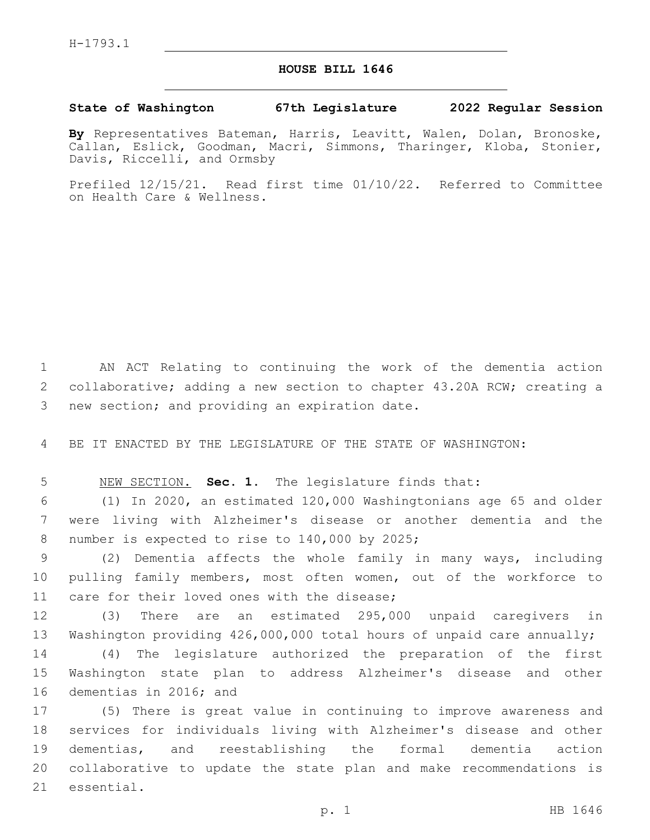## **HOUSE BILL 1646**

## **State of Washington 67th Legislature 2022 Regular Session**

**By** Representatives Bateman, Harris, Leavitt, Walen, Dolan, Bronoske, Callan, Eslick, Goodman, Macri, Simmons, Tharinger, Kloba, Stonier, Davis, Riccelli, and Ormsby

Prefiled 12/15/21. Read first time 01/10/22. Referred to Committee on Health Care & Wellness.

1 AN ACT Relating to continuing the work of the dementia action 2 collaborative; adding a new section to chapter 43.20A RCW; creating a 3 new section; and providing an expiration date.

4 BE IT ENACTED BY THE LEGISLATURE OF THE STATE OF WASHINGTON:

5 NEW SECTION. **Sec. 1.** The legislature finds that:

6 (1) In 2020, an estimated 120,000 Washingtonians age 65 and older 7 were living with Alzheimer's disease or another dementia and the 8 number is expected to rise to 140,000 by 2025;

9 (2) Dementia affects the whole family in many ways, including 10 pulling family members, most often women, out of the workforce to 11 care for their loved ones with the disease;

12 (3) There are an estimated 295,000 unpaid caregivers in 13 Washington providing 426,000,000 total hours of unpaid care annually;

14 (4) The legislature authorized the preparation of the first 15 Washington state plan to address Alzheimer's disease and other 16 dementias in 2016; and

 (5) There is great value in continuing to improve awareness and services for individuals living with Alzheimer's disease and other dementias, and reestablishing the formal dementia action collaborative to update the state plan and make recommendations is 21 essential.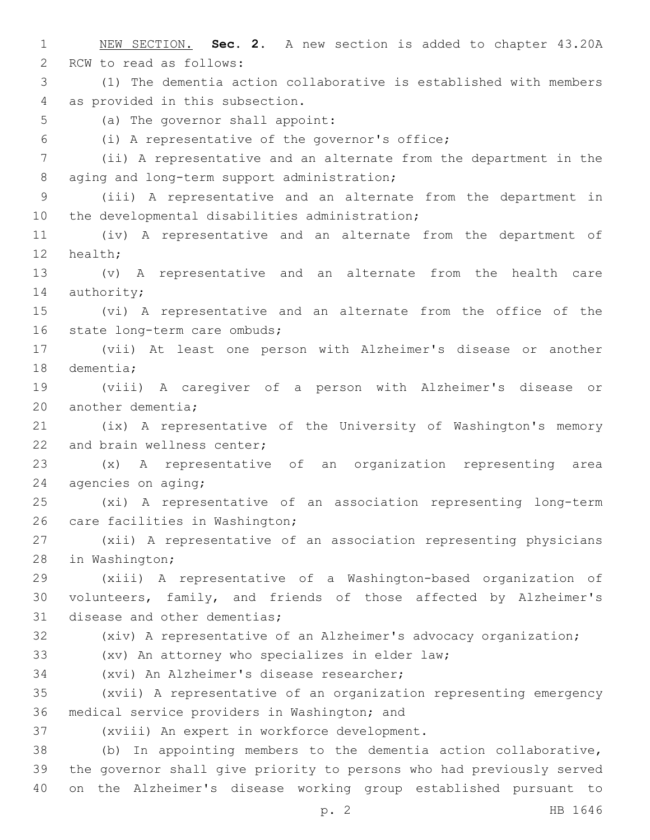1 NEW SECTION. **Sec. 2.** A new section is added to chapter 43.20A 2 RCW to read as follows: 3 (1) The dementia action collaborative is established with members 4 as provided in this subsection. 5 (a) The governor shall appoint: (i) A representative of the governor's office;6 7 (ii) A representative and an alternate from the department in the 8 aging and long-term support administration; 9 (iii) A representative and an alternate from the department in 10 the developmental disabilities administration; 11 (iv) A representative and an alternate from the department of 12 health; 13 (v) A representative and an alternate from the health care 14 authority; 15 (vi) A representative and an alternate from the office of the 16 state long-term care ombuds; 17 (vii) At least one person with Alzheimer's disease or another 18 dementia; 19 (viii) A caregiver of a person with Alzheimer's disease or 20 another dementia; 21 (ix) A representative of the University of Washington's memory 22 and brain wellness center; 23 (x) A representative of an organization representing area 24 agencies on aging; 25 (xi) A representative of an association representing long-term 26 care facilities in Washington; 27 (xii) A representative of an association representing physicians 28 in Washington; 29 (xiii) A representative of a Washington-based organization of 30 volunteers, family, and friends of those affected by Alzheimer's 31 disease and other dementias; 32 (xiv) A representative of an Alzheimer's advocacy organization; 33 (xv) An attorney who specializes in elder law; 34 (xvi) An Alzheimer's disease researcher; 35 (xvii) A representative of an organization representing emergency 36 medical service providers in Washington; and 37 (xviii) An expert in workforce development. 38 (b) In appointing members to the dementia action collaborative, 39 the governor shall give priority to persons who had previously served 40 on the Alzheimer's disease working group established pursuant to

p. 2 HB 1646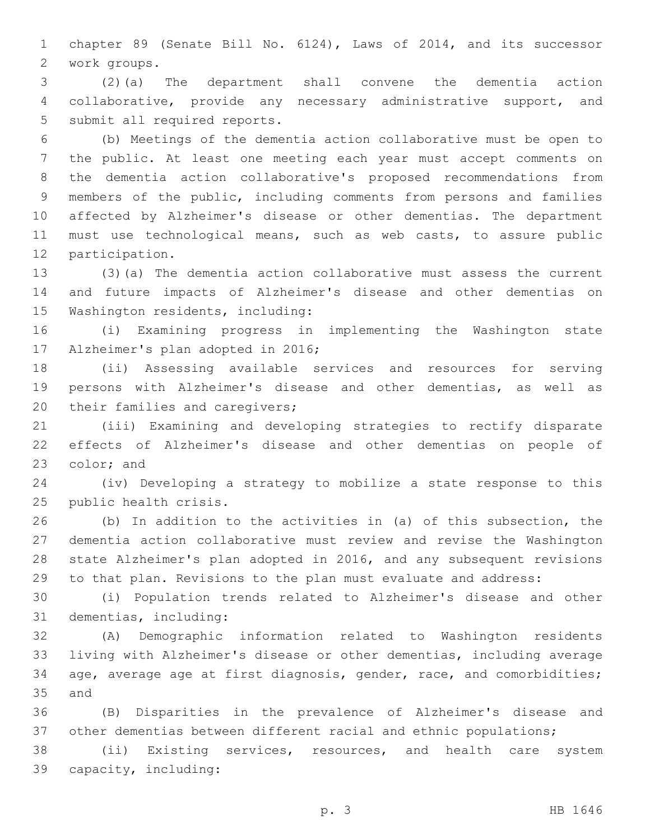chapter 89 (Senate Bill No. 6124), Laws of 2014, and its successor work groups.2

 (2)(a) The department shall convene the dementia action collaborative, provide any necessary administrative support, and 5 submit all required reports.

 (b) Meetings of the dementia action collaborative must be open to the public. At least one meeting each year must accept comments on the dementia action collaborative's proposed recommendations from members of the public, including comments from persons and families affected by Alzheimer's disease or other dementias. The department must use technological means, such as web casts, to assure public 12 participation.

 (3)(a) The dementia action collaborative must assess the current and future impacts of Alzheimer's disease and other dementias on 15 Washington residents, including:

 (i) Examining progress in implementing the Washington state 17 Alzheimer's plan adopted in 2016;

 (ii) Assessing available services and resources for serving persons with Alzheimer's disease and other dementias, as well as 20 their families and caregivers;

 (iii) Examining and developing strategies to rectify disparate effects of Alzheimer's disease and other dementias on people of 23 color; and

 (iv) Developing a strategy to mobilize a state response to this 25 public health crisis.

 (b) In addition to the activities in (a) of this subsection, the dementia action collaborative must review and revise the Washington state Alzheimer's plan adopted in 2016, and any subsequent revisions to that plan. Revisions to the plan must evaluate and address:

 (i) Population trends related to Alzheimer's disease and other 31 dementias, including:

 (A) Demographic information related to Washington residents living with Alzheimer's disease or other dementias, including average age, average age at first diagnosis, gender, race, and comorbidities; 35 and

 (B) Disparities in the prevalence of Alzheimer's disease and other dementias between different racial and ethnic populations;

 (ii) Existing services, resources, and health care system capacity, including:39